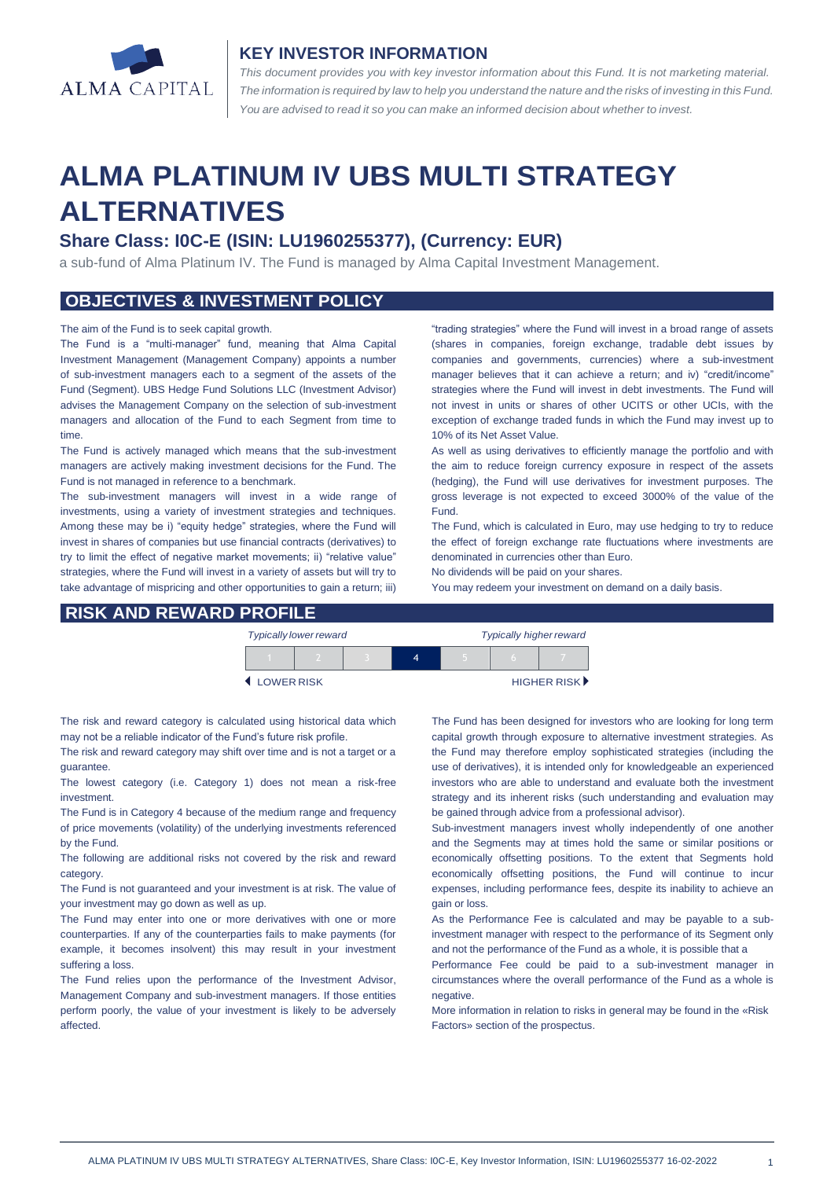

## **KEY INVESTOR INFORMATION**

*This document provides you with key investor information about this Fund. It is not marketing material.*  The information is required by law to help you understand the nature and the risks of investing in this Fund. *You are advised to read it so you can make an informed decision about whether to invest.*

# **ALMA PLATINUM IV UBS MULTI STRATEGY ALTERNATIVES**

## **Share Class: I0C-E (ISIN: LU1960255377), (Currency: EUR)**

a sub-fund of Alma Platinum IV. The Fund is managed by Alma Capital Investment Management.

## **OBJECTIVES & INVESTMENT POLICY**

#### The aim of the Fund is to seek capital growth.

The Fund is a "multi-manager" fund, meaning that Alma Capital Investment Management (Management Company) appoints a number of sub-investment managers each to a segment of the assets of the Fund (Segment). UBS Hedge Fund Solutions LLC (Investment Advisor) advises the Management Company on the selection of sub-investment managers and allocation of the Fund to each Segment from time to time.

The Fund is actively managed which means that the sub-investment managers are actively making investment decisions for the Fund. The Fund is not managed in reference to a benchmark.

The sub-investment managers will invest in a wide range of investments, using a variety of investment strategies and techniques. Among these may be i) "equity hedge" strategies, where the Fund will invest in shares of companies but use financial contracts (derivatives) to try to limit the effect of negative market movements; ii) "relative value" strategies, where the Fund will invest in a variety of assets but will try to take advantage of mispricing and other opportunities to gain a return; iii) "trading strategies" where the Fund will invest in a broad range of assets (shares in companies, foreign exchange, tradable debt issues by companies and governments, currencies) where a sub-investment manager believes that it can achieve a return; and iv) "credit/income" strategies where the Fund will invest in debt investments. The Fund will not invest in units or shares of other UCITS or other UCIs, with the exception of exchange traded funds in which the Fund may invest up to 10% of its Net Asset Value.

As well as using derivatives to efficiently manage the portfolio and with the aim to reduce foreign currency exposure in respect of the assets (hedging), the Fund will use derivatives for investment purposes. The gross leverage is not expected to exceed 3000% of the value of the Fund.

The Fund, which is calculated in Euro, may use hedging to try to reduce the effect of foreign exchange rate fluctuations where investments are denominated in currencies other than Euro.

No dividends will be paid on your shares. You may redeem your investment on demand on a daily basis.

### **RISK AND REWARD PROFILE**

| <b>Typically lower reward</b> |  |  |  | <b>Typically higher reward</b> |  |             |
|-------------------------------|--|--|--|--------------------------------|--|-------------|
|                               |  |  |  |                                |  |             |
| LOWER RISK                    |  |  |  |                                |  | HIGHER RISK |

The risk and reward category is calculated using historical data which may not be a reliable indicator of the Fund's future risk profile.

The risk and reward category may shift over time and is not a target or a guarantee.

The lowest category (i.e. Category 1) does not mean a risk-free investment.

The Fund is in Category 4 because of the medium range and frequency of price movements (volatility) of the underlying investments referenced by the Fund.

The following are additional risks not covered by the risk and reward category.

The Fund is not guaranteed and your investment is at risk. The value of your investment may go down as well as up.

The Fund may enter into one or more derivatives with one or more counterparties. If any of the counterparties fails to make payments (for example, it becomes insolvent) this may result in your investment suffering a loss.

The Fund relies upon the performance of the Investment Advisor, Management Company and sub-investment managers. If those entities perform poorly, the value of your investment is likely to be adversely affected.

The Fund has been designed for investors who are looking for long term capital growth through exposure to alternative investment strategies. As the Fund may therefore employ sophisticated strategies (including the use of derivatives), it is intended only for knowledgeable an experienced investors who are able to understand and evaluate both the investment strategy and its inherent risks (such understanding and evaluation may be gained through advice from a professional advisor).

Sub-investment managers invest wholly independently of one another and the Segments may at times hold the same or similar positions or economically offsetting positions. To the extent that Segments hold economically offsetting positions, the Fund will continue to incur expenses, including performance fees, despite its inability to achieve an gain or loss.

As the Performance Fee is calculated and may be payable to a subinvestment manager with respect to the performance of its Segment only and not the performance of the Fund as a whole, it is possible that a

Performance Fee could be paid to a sub-investment manager in circumstances where the overall performance of the Fund as a whole is negative

More information in relation to risks in general may be found in the «Risk Factors» section of the prospectus.